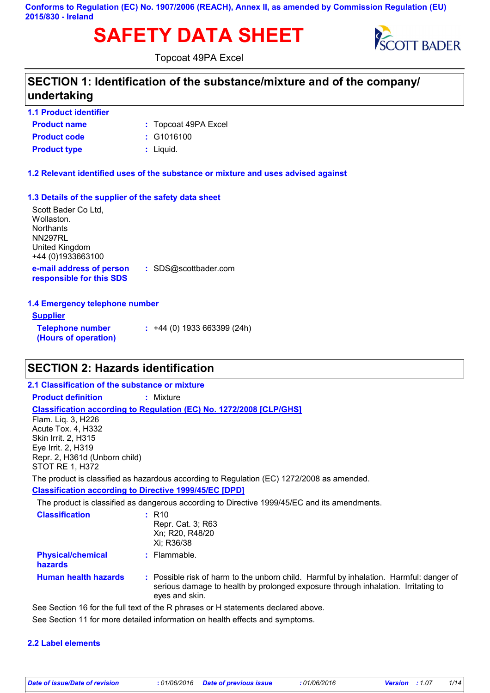**Conforms to Regulation (EC) No. 1907/2006 (REACH), Annex II, as amended by Commission Regulation (EU) 2015/830 - Ireland**

# **SAFETY DATA SHEET** SCOTT BADER



Topcoat 49PA Excel

### **SECTION 1: Identification of the substance/mixture and of the company/ undertaking**

### **1.1 Product identifier**

| <b>Product name</b> | : Topcoat 49PA Excel |
|---------------------|----------------------|
| <b>Product code</b> | $:$ G1016100         |
| <b>Product type</b> | $:$ Liquid.          |

**1.2 Relevant identified uses of the substance or mixture and uses advised against**

### **1.3 Details of the supplier of the safety data sheet**

**e-mail address of person responsible for this SDS :** SDS@scottbader.com Scott Bader Co Ltd, Wollaston. **Northants** NN297RL United Kingdom +44 (0)1933663100

### **1.4 Emergency telephone number**

| <u>Supplier</u>                                 |                                  |
|-------------------------------------------------|----------------------------------|
| <b>Telephone number</b><br>(Hours of operation) | $\div$ +44 (0) 1933 663399 (24h) |

### **SECTION 2: Hazards identification**

### **2.1 Classification of the substance or mixture**

**Product definition :** Mixture

### **Classification according to Regulation (EC) No. 1272/2008 [CLP/GHS]**

Flam. Liq. 3, H226 Acute Tox. 4, H332 Skin Irrit. 2, H315 Eye Irrit. 2, H319 Repr. 2, H361d (Unborn child) STOT RE 1, H372

The product is classified as hazardous according to Regulation (EC) 1272/2008 as amended.

### **Classification according to Directive 1999/45/EC [DPD]**

The product is classified as dangerous according to Directive 1999/45/EC and its amendments.

| <b>Classification</b>                      | $:$ R <sub>10</sub><br>Repr. Cat. 3; R63<br>Xn; R20, R48/20<br>Xi; R36/38                                                                                                                    |
|--------------------------------------------|----------------------------------------------------------------------------------------------------------------------------------------------------------------------------------------------|
| <b>Physical/chemical</b><br><b>hazards</b> | $:$ Flammable.                                                                                                                                                                               |
| <b>Human health hazards</b>                | : Possible risk of harm to the unborn child. Harmful by inhalation. Harmful: danger of<br>serious damage to health by prolonged exposure through inhalation. Irritating to<br>eyes and skin. |
|                                            | See Section 16 for the full text of the R phrases or H statements declared above                                                                                                             |

 $\rm e$  Section 16 for the full text of the R phrases or H statements declared above.

### See Section 11 for more detailed information on health effects and symptoms.

### **2.2 Label elements**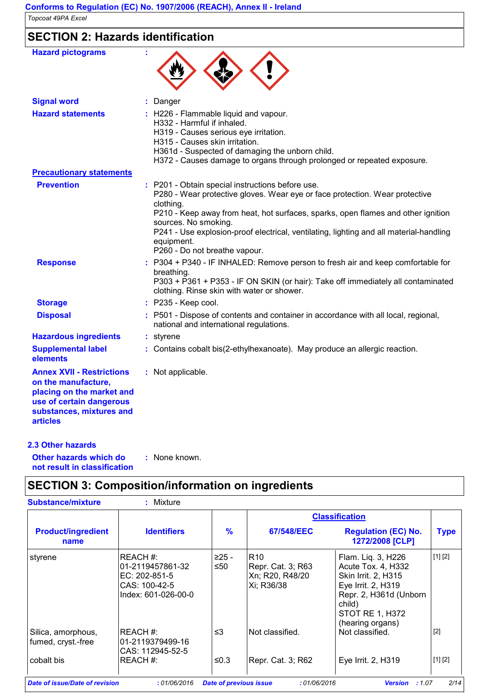### **SECTION 2: Hazards identification**

| <b>Hazard pictograms</b>                                                                                                                                        |                                                                                                                                                                                                                                                                                                                                                                                                   |
|-----------------------------------------------------------------------------------------------------------------------------------------------------------------|---------------------------------------------------------------------------------------------------------------------------------------------------------------------------------------------------------------------------------------------------------------------------------------------------------------------------------------------------------------------------------------------------|
| <b>Signal word</b>                                                                                                                                              | : Danger                                                                                                                                                                                                                                                                                                                                                                                          |
| <b>Hazard statements</b>                                                                                                                                        | : H226 - Flammable liquid and vapour.<br>H332 - Harmful if inhaled.<br>H319 - Causes serious eye irritation.<br>H315 - Causes skin irritation.<br>H361d - Suspected of damaging the unborn child.<br>H372 - Causes damage to organs through prolonged or repeated exposure.                                                                                                                       |
| <b>Precautionary statements</b>                                                                                                                                 |                                                                                                                                                                                                                                                                                                                                                                                                   |
| <b>Prevention</b>                                                                                                                                               | : P201 - Obtain special instructions before use.<br>P280 - Wear protective gloves. Wear eye or face protection. Wear protective<br>clothing.<br>P210 - Keep away from heat, hot surfaces, sparks, open flames and other ignition<br>sources. No smoking.<br>P241 - Use explosion-proof electrical, ventilating, lighting and all material-handling<br>equipment.<br>P260 - Do not breathe vapour. |
| <b>Response</b>                                                                                                                                                 | : P304 + P340 - IF INHALED: Remove person to fresh air and keep comfortable for<br>breathing.<br>P303 + P361 + P353 - IF ON SKIN (or hair): Take off immediately all contaminated<br>clothing. Rinse skin with water or shower.                                                                                                                                                                   |
| <b>Storage</b>                                                                                                                                                  | : P235 - Keep cool.                                                                                                                                                                                                                                                                                                                                                                               |
| <b>Disposal</b>                                                                                                                                                 | P501 - Dispose of contents and container in accordance with all local, regional,<br>national and international regulations.                                                                                                                                                                                                                                                                       |
| <b>Hazardous ingredients</b>                                                                                                                                    | : styrene                                                                                                                                                                                                                                                                                                                                                                                         |
| <b>Supplemental label</b><br>elements                                                                                                                           | : Contains cobalt bis(2-ethylhexanoate). May produce an allergic reaction.                                                                                                                                                                                                                                                                                                                        |
| <b>Annex XVII - Restrictions</b><br>on the manufacture,<br>placing on the market and<br>use of certain dangerous<br>substances, mixtures and<br><b>articles</b> | : Not applicable.                                                                                                                                                                                                                                                                                                                                                                                 |
| 2.3 Other hazards                                                                                                                                               |                                                                                                                                                                                                                                                                                                                                                                                                   |

**Other hazards which do : not result in classification** : None known.

## **SECTION 3: Composition/information on ingredients**

|                                          |                                                                                      |               | <b>Classification</b>                                                 |                                                                                                                                                                  |             |
|------------------------------------------|--------------------------------------------------------------------------------------|---------------|-----------------------------------------------------------------------|------------------------------------------------------------------------------------------------------------------------------------------------------------------|-------------|
| <b>Product/ingredient</b><br>name        | <b>Identifiers</b>                                                                   | $\frac{9}{6}$ | 67/548/EEC                                                            | <b>Regulation (EC) No.</b><br>1272/2008 [CLP]                                                                                                                    | <b>Type</b> |
| styrene                                  | REACH#:<br>01-2119457861-32<br>EC: 202-851-5<br>CAS: 100-42-5<br>Index: 601-026-00-0 | ≥25 -<br>≤50  | R <sub>10</sub><br>Repr. Cat. 3; R63<br>Xn; R20, R48/20<br>Xi; R36/38 | Flam. Liq. 3, H226<br>Acute Tox. 4, H332<br>Skin Irrit. 2, H315<br>Eye Irrit. 2, H319<br>Repr. 2, H361d (Unborn<br>child)<br>STOT RE 1, H372<br>(hearing organs) | [1] [2]     |
| Silica, amorphous,<br>fumed, cryst.-free | IREACH #:<br>01-2119379499-16<br>CAS: 112945-52-5                                    | $\leq$ 3      | Not classified.                                                       | Not classified.                                                                                                                                                  | $[2]$       |
| cobalt bis                               | REACH#:                                                                              | ≤0.3          | Repr. Cat. 3; R62                                                     | Eye Irrit. 2, H319                                                                                                                                               | [1] [2]     |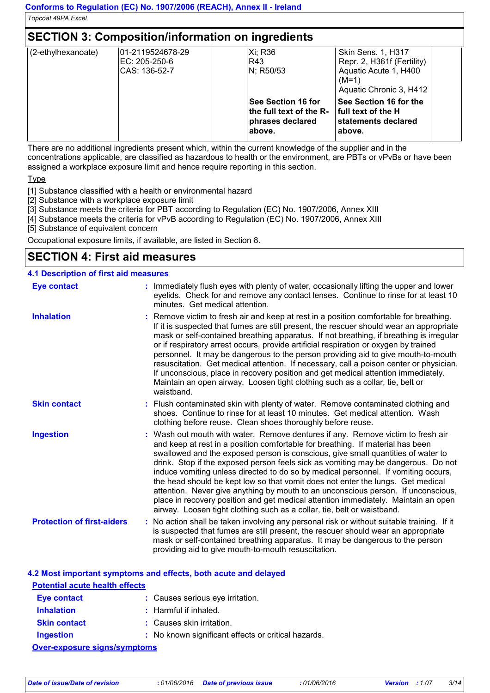### **SECTION 3: Composition/information on ingredients**

| (2-ethylhexanoate) | 01-2119524678-29 | Xi: R36   |                         | <b>Skin Sens. 1, H317</b>     |  |
|--------------------|------------------|-----------|-------------------------|-------------------------------|--|
|                    | EC: 205-250-6    | R43       |                         | Repr. 2, H361f (Fertility)    |  |
|                    | CAS: 136-52-7    | N; R50/53 |                         | Aquatic Acute 1, H400         |  |
|                    |                  |           |                         | $(M=1)$                       |  |
|                    |                  |           |                         | Aquatic Chronic 3, H412       |  |
|                    |                  |           | See Section 16 for      | <b>See Section 16 for the</b> |  |
|                    |                  |           | the full text of the R- | full text of the H            |  |
|                    |                  |           | phrases declared        | Istatements declared          |  |
|                    |                  | above.    |                         | above.                        |  |
|                    |                  |           |                         |                               |  |

There are no additional ingredients present which, within the current knowledge of the supplier and in the concentrations applicable, are classified as hazardous to health or the environment, are PBTs or vPvBs or have been assigned a workplace exposure limit and hence require reporting in this section.

**T**<sub>vpe</sub>

[1] Substance classified with a health or environmental hazard

[2] Substance with a workplace exposure limit

[3] Substance meets the criteria for PBT according to Regulation (EC) No. 1907/2006, Annex XIII

[4] Substance meets the criteria for vPvB according to Regulation (EC) No. 1907/2006, Annex XIII

[5] Substance of equivalent concern

Occupational exposure limits, if available, are listed in Section 8.

### **SECTION 4: First aid measures**

### **4.1 Description of first aid measures**

| <b>Eye contact</b>                | : Immediately flush eyes with plenty of water, occasionally lifting the upper and lower<br>eyelids. Check for and remove any contact lenses. Continue to rinse for at least 10<br>minutes. Get medical attention.                                                                                                                                                                                                                                                                                                                                                                                                                                                                                                                                                         |
|-----------------------------------|---------------------------------------------------------------------------------------------------------------------------------------------------------------------------------------------------------------------------------------------------------------------------------------------------------------------------------------------------------------------------------------------------------------------------------------------------------------------------------------------------------------------------------------------------------------------------------------------------------------------------------------------------------------------------------------------------------------------------------------------------------------------------|
| <b>Inhalation</b>                 | : Remove victim to fresh air and keep at rest in a position comfortable for breathing.<br>If it is suspected that fumes are still present, the rescuer should wear an appropriate<br>mask or self-contained breathing apparatus. If not breathing, if breathing is irregular<br>or if respiratory arrest occurs, provide artificial respiration or oxygen by trained<br>personnel. It may be dangerous to the person providing aid to give mouth-to-mouth<br>resuscitation. Get medical attention. If necessary, call a poison center or physician.<br>If unconscious, place in recovery position and get medical attention immediately.<br>Maintain an open airway. Loosen tight clothing such as a collar, tie, belt or<br>waistband.                                   |
| <b>Skin contact</b>               | : Flush contaminated skin with plenty of water. Remove contaminated clothing and<br>shoes. Continue to rinse for at least 10 minutes. Get medical attention. Wash<br>clothing before reuse. Clean shoes thoroughly before reuse.                                                                                                                                                                                                                                                                                                                                                                                                                                                                                                                                          |
| <b>Ingestion</b>                  | : Wash out mouth with water. Remove dentures if any. Remove victim to fresh air<br>and keep at rest in a position comfortable for breathing. If material has been<br>swallowed and the exposed person is conscious, give small quantities of water to<br>drink. Stop if the exposed person feels sick as vomiting may be dangerous. Do not<br>induce vomiting unless directed to do so by medical personnel. If vomiting occurs,<br>the head should be kept low so that vomit does not enter the lungs. Get medical<br>attention. Never give anything by mouth to an unconscious person. If unconscious,<br>place in recovery position and get medical attention immediately. Maintain an open<br>airway. Loosen tight clothing such as a collar, tie, belt or waistband. |
| <b>Protection of first-aiders</b> | : No action shall be taken involving any personal risk or without suitable training. If it<br>is suspected that fumes are still present, the rescuer should wear an appropriate<br>mask or self-contained breathing apparatus. It may be dangerous to the person<br>providing aid to give mouth-to-mouth resuscitation.                                                                                                                                                                                                                                                                                                                                                                                                                                                   |

### **4.2 Most important symptoms and effects, both acute and delayed**

| <b>Potential acute health effects</b> |                                                     |
|---------------------------------------|-----------------------------------------------------|
| Eye contact                           | : Causes serious eye irritation.                    |
| <b>Inhalation</b>                     | $:$ Harmful if inhaled.                             |
| <b>Skin contact</b>                   | : Causes skin irritation.                           |
| Ingestion                             | : No known significant effects or critical hazards. |
| <b>Over-exposure signs/symptoms</b>   |                                                     |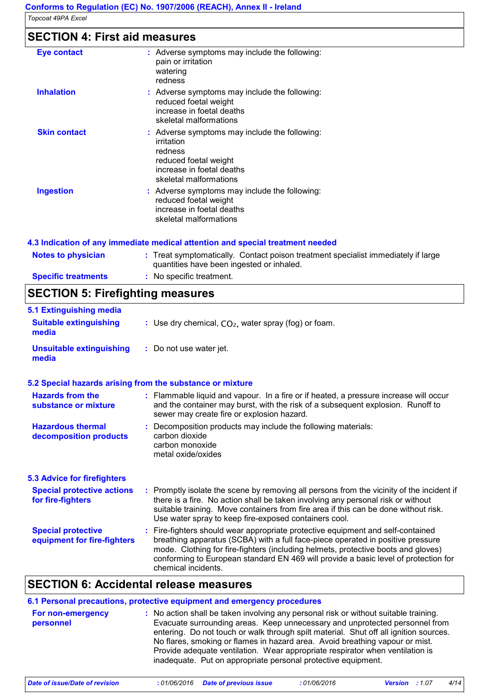### **SECTION 4: First aid measures**

| Eye contact         | : Adverse symptoms may include the following:<br>pain or irritation<br>watering<br>redness                                                             |
|---------------------|--------------------------------------------------------------------------------------------------------------------------------------------------------|
| <b>Inhalation</b>   | : Adverse symptoms may include the following:<br>reduced foetal weight<br>increase in foetal deaths<br>skeletal malformations                          |
| <b>Skin contact</b> | : Adverse symptoms may include the following:<br>irritation<br>redness<br>reduced foetal weight<br>increase in foetal deaths<br>skeletal malformations |
| <b>Ingestion</b>    | : Adverse symptoms may include the following:<br>reduced foetal weight<br>increase in foetal deaths<br>skeletal malformations                          |

### **4.3 Indication of any immediate medical attention and special treatment needed**

| <b>Notes to physician</b>  | : Treat symptomatically. Contact poison treatment specialist immediately if large<br>quantities have been ingested or inhaled. |
|----------------------------|--------------------------------------------------------------------------------------------------------------------------------|
| <b>Specific treatments</b> | : No specific treatment.                                                                                                       |

### **SECTION 5: Firefighting measures**

| 5.1 Extinguishing media                                  |                                                                                                                                                                                                                                                                                                                                                                       |
|----------------------------------------------------------|-----------------------------------------------------------------------------------------------------------------------------------------------------------------------------------------------------------------------------------------------------------------------------------------------------------------------------------------------------------------------|
| <b>Suitable extinguishing</b><br>media                   | : Use dry chemical, $CO2$ , water spray (fog) or foam.                                                                                                                                                                                                                                                                                                                |
| <b>Unsuitable extinguishing</b><br>media                 | : Do not use water jet.                                                                                                                                                                                                                                                                                                                                               |
|                                                          | 5.2 Special hazards arising from the substance or mixture                                                                                                                                                                                                                                                                                                             |
| <b>Hazards from the</b><br>substance or mixture          | : Flammable liquid and vapour. In a fire or if heated, a pressure increase will occur<br>and the container may burst, with the risk of a subsequent explosion. Runoff to<br>sewer may create fire or explosion hazard.                                                                                                                                                |
| <b>Hazardous thermal</b><br>decomposition products       | : Decomposition products may include the following materials:<br>carbon dioxide<br>carbon monoxide<br>metal oxide/oxides                                                                                                                                                                                                                                              |
| <b>5.3 Advice for firefighters</b>                       |                                                                                                                                                                                                                                                                                                                                                                       |
| <b>Special protective actions</b><br>for fire-fighters   | : Promptly isolate the scene by removing all persons from the vicinity of the incident if<br>there is a fire. No action shall be taken involving any personal risk or without<br>suitable training. Move containers from fire area if this can be done without risk.<br>Use water spray to keep fire-exposed containers cool.                                         |
| <b>Special protective</b><br>equipment for fire-fighters | : Fire-fighters should wear appropriate protective equipment and self-contained<br>breathing apparatus (SCBA) with a full face-piece operated in positive pressure<br>mode. Clothing for fire-fighters (including helmets, protective boots and gloves)<br>conforming to European standard EN 469 will provide a basic level of protection for<br>chemical incidents. |

### **SECTION 6: Accidental release measures**

|                                | 6.1 Personal precautions, protective equipment and emergency procedures                                                                                                                                                                                                                                                                                                                                                                                                                        |
|--------------------------------|------------------------------------------------------------------------------------------------------------------------------------------------------------------------------------------------------------------------------------------------------------------------------------------------------------------------------------------------------------------------------------------------------------------------------------------------------------------------------------------------|
| For non-emergency<br>personnel | : No action shall be taken involving any personal risk or without suitable training.<br>Evacuate surrounding areas. Keep unnecessary and unprotected personnel from<br>entering. Do not touch or walk through spilt material. Shut off all ignition sources.<br>No flares, smoking or flames in hazard area. Avoid breathing vapour or mist.<br>Provide adequate ventilation. Wear appropriate respirator when ventilation is<br>inadequate. Put on appropriate personal protective equipment. |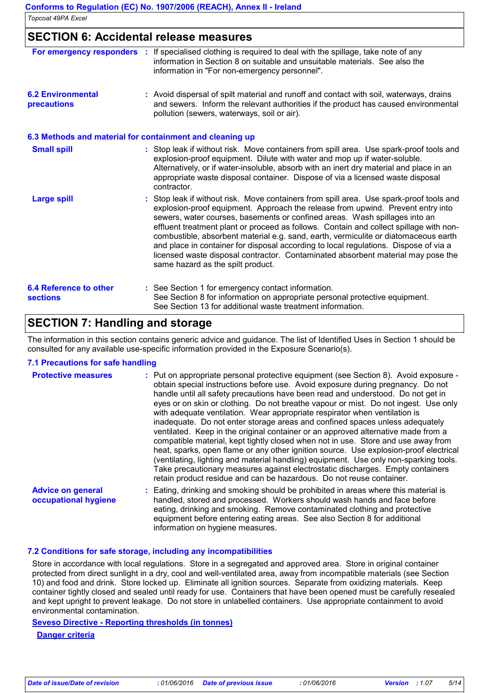|                                         | Conforms to Regulation (EC) No. 1907/2006 (REACH), Annex II - Ireland                                                                                                                                                                                                                                                                                                                                                                                                                                                                                                                                                                                      |
|-----------------------------------------|------------------------------------------------------------------------------------------------------------------------------------------------------------------------------------------------------------------------------------------------------------------------------------------------------------------------------------------------------------------------------------------------------------------------------------------------------------------------------------------------------------------------------------------------------------------------------------------------------------------------------------------------------------|
| Topcoat 49PA Excel                      |                                                                                                                                                                                                                                                                                                                                                                                                                                                                                                                                                                                                                                                            |
|                                         | <b>SECTION 6: Accidental release measures</b>                                                                                                                                                                                                                                                                                                                                                                                                                                                                                                                                                                                                              |
| For emergency responders                | : If specialised clothing is required to deal with the spillage, take note of any<br>information in Section 8 on suitable and unsuitable materials. See also the<br>information in "For non-emergency personnel".                                                                                                                                                                                                                                                                                                                                                                                                                                          |
| <b>6.2 Environmental</b><br>precautions | : Avoid dispersal of spilt material and runoff and contact with soil, waterways, drains<br>and sewers. Inform the relevant authorities if the product has caused environmental<br>pollution (sewers, waterways, soil or air).                                                                                                                                                                                                                                                                                                                                                                                                                              |
|                                         | 6.3 Methods and material for containment and cleaning up                                                                                                                                                                                                                                                                                                                                                                                                                                                                                                                                                                                                   |
| <b>Small spill</b>                      | : Stop leak if without risk. Move containers from spill area. Use spark-proof tools and<br>explosion-proof equipment. Dilute with water and mop up if water-soluble.<br>Alternatively, or if water-insoluble, absorb with an inert dry material and place in an<br>appropriate waste disposal container. Dispose of via a licensed waste disposal<br>contractor.                                                                                                                                                                                                                                                                                           |
| <b>Large spill</b>                      | : Stop leak if without risk. Move containers from spill area. Use spark-proof tools and<br>explosion-proof equipment. Approach the release from upwind. Prevent entry into<br>sewers, water courses, basements or confined areas. Wash spillages into an<br>effluent treatment plant or proceed as follows. Contain and collect spillage with non-<br>combustible, absorbent material e.g. sand, earth, vermiculite or diatomaceous earth<br>and place in container for disposal according to local regulations. Dispose of via a<br>licensed waste disposal contractor. Contaminated absorbent material may pose the<br>same hazard as the spilt product. |

#### **6.4 Reference to other sections** See Section 1 for emergency contact information. **:** See Section 8 for information on appropriate personal protective equipment. See Section 13 for additional waste treatment information.

### **SECTION 7: Handling and storage**

The information in this section contains generic advice and guidance. The list of Identified Uses in Section 1 should be consulted for any available use-specific information provided in the Exposure Scenario(s).

### **7.1 Precautions for safe handling**

| <b>Protective measures</b>                       | : Put on appropriate personal protective equipment (see Section 8). Avoid exposure -<br>obtain special instructions before use. Avoid exposure during pregnancy. Do not<br>handle until all safety precautions have been read and understood. Do not get in<br>eyes or on skin or clothing. Do not breathe vapour or mist. Do not ingest. Use only<br>with adequate ventilation. Wear appropriate respirator when ventilation is<br>inadequate. Do not enter storage areas and confined spaces unless adequately<br>ventilated. Keep in the original container or an approved alternative made from a<br>compatible material, kept tightly closed when not in use. Store and use away from<br>heat, sparks, open flame or any other ignition source. Use explosion-proof electrical<br>(ventilating, lighting and material handling) equipment. Use only non-sparking tools.<br>Take precautionary measures against electrostatic discharges. Empty containers<br>retain product residue and can be hazardous. Do not reuse container. |
|--------------------------------------------------|----------------------------------------------------------------------------------------------------------------------------------------------------------------------------------------------------------------------------------------------------------------------------------------------------------------------------------------------------------------------------------------------------------------------------------------------------------------------------------------------------------------------------------------------------------------------------------------------------------------------------------------------------------------------------------------------------------------------------------------------------------------------------------------------------------------------------------------------------------------------------------------------------------------------------------------------------------------------------------------------------------------------------------------|
| <b>Advice on general</b><br>occupational hygiene | Eating, drinking and smoking should be prohibited in areas where this material is<br>handled, stored and processed. Workers should wash hands and face before<br>eating, drinking and smoking. Remove contaminated clothing and protective<br>equipment before entering eating areas. See also Section 8 for additional<br>information on hygiene measures.                                                                                                                                                                                                                                                                                                                                                                                                                                                                                                                                                                                                                                                                            |

#### **7.2 Conditions for safe storage, including any incompatibilities**

Store in accordance with local regulations. Store in a segregated and approved area. Store in original container protected from direct sunlight in a dry, cool and well-ventilated area, away from incompatible materials (see Section 10) and food and drink. Store locked up. Eliminate all ignition sources. Separate from oxidizing materials. Keep container tightly closed and sealed until ready for use. Containers that have been opened must be carefully resealed and kept upright to prevent leakage. Do not store in unlabelled containers. Use appropriate containment to avoid environmental contamination.

### **Seveso Directive - Reporting thresholds (in tonnes)**

**Danger criteria**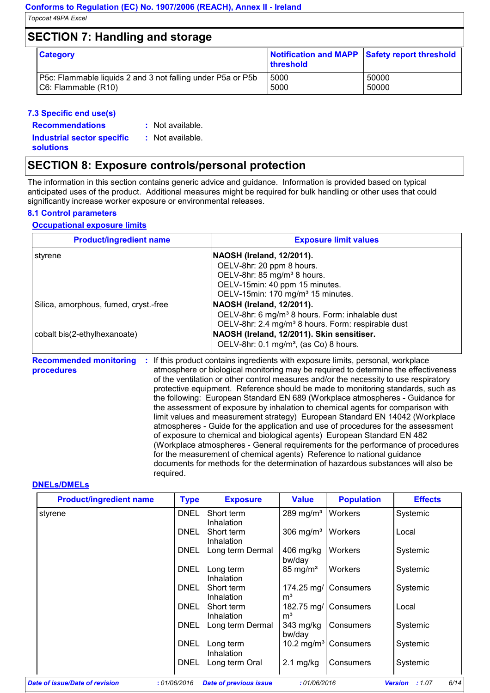### **SECTION 7: Handling and storage**

| <b>Category</b>                                             | Notification and MAPP Safety report threshold<br>threshold |       |
|-------------------------------------------------------------|------------------------------------------------------------|-------|
| P5c: Flammable liquids 2 and 3 not falling under P5a or P5b | 5000                                                       | 50000 |
| C6: Flammable (R10)                                         | 5000                                                       | 50000 |

#### **7.3 Specific end use(s)**

**Recommendations :**

: Not available.

**Industrial sector specific : solutions**

: Not available.

**SECTION 8: Exposure controls/personal protection**

The information in this section contains generic advice and guidance. Information is provided based on typical anticipated uses of the product. Additional measures might be required for bulk handling or other uses that could significantly increase worker exposure or environmental releases.

### **8.1 Control parameters**

### **Occupational exposure limits**

| <b>Product/ingredient name</b>        | <b>Exposure limit values</b>                                   |  |  |
|---------------------------------------|----------------------------------------------------------------|--|--|
| styrene                               | NAOSH (Ireland, 12/2011).                                      |  |  |
|                                       | OELV-8hr: 20 ppm 8 hours.                                      |  |  |
|                                       | OELV-8hr: 85 mg/m <sup>3</sup> 8 hours.                        |  |  |
|                                       | OELV-15min: 40 ppm 15 minutes.                                 |  |  |
|                                       | OELV-15min: 170 mg/m <sup>3</sup> 15 minutes.                  |  |  |
| Silica, amorphous, fumed, cryst.-free | NAOSH (Ireland, 12/2011).                                      |  |  |
|                                       | OELV-8hr: 6 mg/m <sup>3</sup> 8 hours. Form: inhalable dust    |  |  |
|                                       | OELV-8hr: 2.4 mg/m <sup>3</sup> 8 hours. Form: respirable dust |  |  |
| cobalt bis(2-ethylhexanoate)          | NAOSH (Ireland, 12/2011). Skin sensitiser.                     |  |  |
|                                       | OELV-8hr: 0.1 mg/m <sup>3</sup> , (as Co) 8 hours.             |  |  |

**Recommended monitoring procedures :** If this product contains ingredients with exposure limits, personal, workplace atmosphere or biological monitoring may be required to determine the effectiveness of the ventilation or other control measures and/or the necessity to use respiratory protective equipment. Reference should be made to monitoring standards, such as the following: European Standard EN 689 (Workplace atmospheres - Guidance for the assessment of exposure by inhalation to chemical agents for comparison with limit values and measurement strategy) European Standard EN 14042 (Workplace atmospheres - Guide for the application and use of procedures for the assessment of exposure to chemical and biological agents) European Standard EN 482 (Workplace atmospheres - General requirements for the performance of procedures for the measurement of chemical agents) Reference to national guidance documents for methods for the determination of hazardous substances will also be required.

#### **DNELs/DMELs**

| <b>Product/ingredient name</b> | <b>Type</b> | <b>Exposure</b>               | <b>Value</b>                    | <b>Population</b>                | <b>Effects</b>                  |
|--------------------------------|-------------|-------------------------------|---------------------------------|----------------------------------|---------------------------------|
| styrene                        | <b>DNEL</b> | Short term<br>Inhalation      | 289 mg/m <sup>3</sup>   Workers |                                  | Systemic                        |
|                                | DNEL        | Short term<br>Inhalation      | $306 \text{ mg/m}^3$            | Workers                          | Local                           |
|                                | DNEL        | Long term Dermal              | $406$ mg/kg<br>bw/day           | Workers                          | Systemic                        |
|                                | <b>DNEL</b> | Long term<br>Inhalation       | $85 \text{ mg/m}^3$             | Workers                          | Systemic                        |
|                                | DNEL        | Short term<br>Inhalation      | 174.25 mg/<br>m <sup>3</sup>    | Consumers                        | Systemic                        |
|                                | DNEL        | Short term<br>Inhalation      | 182.75 mg/<br>$\mathsf{m}^3$    | Consumers                        | Local                           |
|                                | DNEL        | Long term Dermal              | 343 mg/kg<br>bw/day             | Consumers                        | Systemic                        |
|                                | <b>DNEL</b> | Long term<br>Inhalation       |                                 | 10.2 mg/m <sup>3</sup> Consumers | Systemic                        |
|                                | DNEL        | Long term Oral                | $2.1 \text{ mg/kg}$             | Consumers                        | Systemic                        |
| Date of issue/Date of revision | :01/06/2016 | <b>Date of previous issue</b> | :01/06/2016                     |                                  | 6/14<br><b>Version</b><br>:1.07 |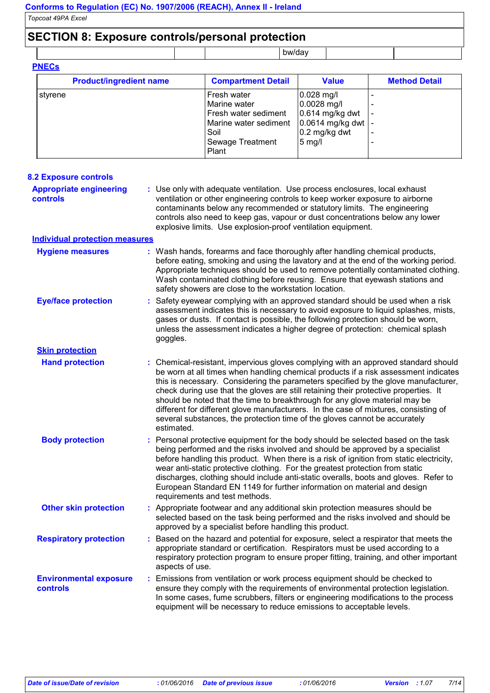### **SECTION 8: Exposure controls/personal protection**

bw/day **PNECs**

| <b>Product/ingredient name</b> | <b>Compartment Detail</b>     | <b>Value</b>                              | <b>Method Detail</b> |
|--------------------------------|-------------------------------|-------------------------------------------|----------------------|
| l stvrene                      | Fresh water                   | $0.028$ mg/l                              |                      |
|                                | Marine water                  | $0.0028$ mg/l                             |                      |
|                                | Fresh water sediment          | $0.614$ mg/kg dwt                         |                      |
|                                | Marine water sediment<br>Soil | $0.0614$ mg/kg dwt   -<br>$0.2$ mg/kg dwt |                      |
|                                | Sewage Treatment              | $5$ mg/l                                  | -                    |
|                                | Plant                         |                                           |                      |

| <b>8.2 Exposure controls</b>                      |                                                                                                                                                                                                                                                                                                                                                                                                                                                                                                                                                                                                                           |
|---------------------------------------------------|---------------------------------------------------------------------------------------------------------------------------------------------------------------------------------------------------------------------------------------------------------------------------------------------------------------------------------------------------------------------------------------------------------------------------------------------------------------------------------------------------------------------------------------------------------------------------------------------------------------------------|
| <b>Appropriate engineering</b><br><b>controls</b> | : Use only with adequate ventilation. Use process enclosures, local exhaust<br>ventilation or other engineering controls to keep worker exposure to airborne<br>contaminants below any recommended or statutory limits. The engineering<br>controls also need to keep gas, vapour or dust concentrations below any lower<br>explosive limits. Use explosion-proof ventilation equipment.                                                                                                                                                                                                                                  |
| <b>Individual protection measures</b>             |                                                                                                                                                                                                                                                                                                                                                                                                                                                                                                                                                                                                                           |
| <b>Hygiene measures</b>                           | : Wash hands, forearms and face thoroughly after handling chemical products,<br>before eating, smoking and using the lavatory and at the end of the working period.<br>Appropriate techniques should be used to remove potentially contaminated clothing.<br>Wash contaminated clothing before reusing. Ensure that eyewash stations and<br>safety showers are close to the workstation location.                                                                                                                                                                                                                         |
| <b>Eye/face protection</b>                        | : Safety eyewear complying with an approved standard should be used when a risk<br>assessment indicates this is necessary to avoid exposure to liquid splashes, mists,<br>gases or dusts. If contact is possible, the following protection should be worn,<br>unless the assessment indicates a higher degree of protection: chemical splash<br>goggles.                                                                                                                                                                                                                                                                  |
| <b>Skin protection</b>                            |                                                                                                                                                                                                                                                                                                                                                                                                                                                                                                                                                                                                                           |
| <b>Hand protection</b>                            | : Chemical-resistant, impervious gloves complying with an approved standard should<br>be worn at all times when handling chemical products if a risk assessment indicates<br>this is necessary. Considering the parameters specified by the glove manufacturer,<br>check during use that the gloves are still retaining their protective properties. It<br>should be noted that the time to breakthrough for any glove material may be<br>different for different glove manufacturers. In the case of mixtures, consisting of<br>several substances, the protection time of the gloves cannot be accurately<br>estimated. |
| <b>Body protection</b>                            | : Personal protective equipment for the body should be selected based on the task<br>being performed and the risks involved and should be approved by a specialist<br>before handling this product. When there is a risk of ignition from static electricity,<br>wear anti-static protective clothing. For the greatest protection from static<br>discharges, clothing should include anti-static overalls, boots and gloves. Refer to<br>European Standard EN 1149 for further information on material and design<br>requirements and test methods.                                                                      |
| <b>Other skin protection</b>                      | : Appropriate footwear and any additional skin protection measures should be<br>selected based on the task being performed and the risks involved and should be<br>approved by a specialist before handling this product.                                                                                                                                                                                                                                                                                                                                                                                                 |
| <b>Respiratory protection</b>                     | : Based on the hazard and potential for exposure, select a respirator that meets the<br>appropriate standard or certification. Respirators must be used according to a<br>respiratory protection program to ensure proper fitting, training, and other important<br>aspects of use.                                                                                                                                                                                                                                                                                                                                       |
| <b>Environmental exposure</b><br>controls         | : Emissions from ventilation or work process equipment should be checked to<br>ensure they comply with the requirements of environmental protection legislation.<br>In some cases, fume scrubbers, filters or engineering modifications to the process<br>equipment will be necessary to reduce emissions to acceptable levels.                                                                                                                                                                                                                                                                                           |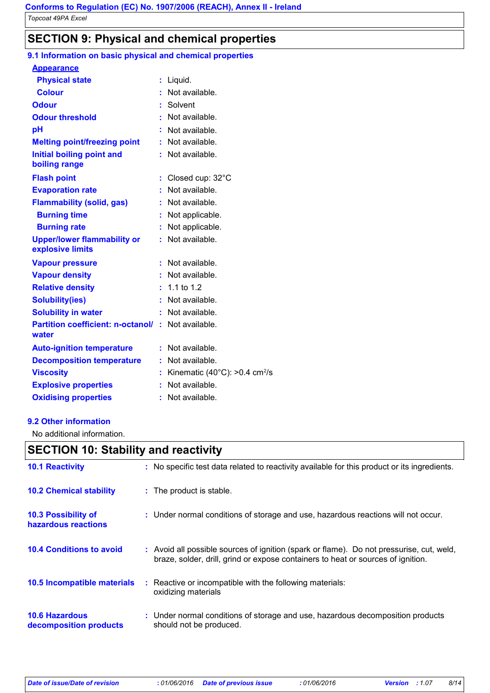### **SECTION 9: Physical and chemical properties**

### **9.1 Information on basic physical and chemical properties**

| <u>Appearance</u>                                      |    |                                                      |
|--------------------------------------------------------|----|------------------------------------------------------|
| <b>Physical state</b>                                  | ÷. | Liquid.                                              |
| <b>Colour</b>                                          |    | Not available.                                       |
| <b>Odour</b>                                           |    | Solvent                                              |
| <b>Odour threshold</b>                                 |    | Not available.                                       |
| рH                                                     |    | Not available.                                       |
| <b>Melting point/freezing point</b>                    |    | Not available.                                       |
| <b>Initial boiling point and</b><br>boiling range      |    | Not available.                                       |
| <b>Flash point</b>                                     | ÷. | Closed cup: $32^{\circ}$ C                           |
| <b>Evaporation rate</b>                                |    | Not available.                                       |
| <b>Flammability (solid, gas)</b>                       | ÷. | Not available.                                       |
| <b>Burning time</b>                                    |    | Not applicable.                                      |
| <b>Burning rate</b>                                    |    | Not applicable.                                      |
| <b>Upper/lower flammability or</b><br>explosive limits |    | : Not available.                                     |
| <b>Vapour pressure</b>                                 |    | Not available.                                       |
| <b>Vapour density</b>                                  |    | Not available.                                       |
| <b>Relative density</b>                                | ÷. | 1.1 to $1.2$                                         |
| <b>Solubility(ies)</b>                                 |    | Not available.                                       |
| <b>Solubility in water</b>                             |    | Not available.                                       |
| <b>Partition coefficient: n-octanol/</b><br>water      | ÷  | Not available.                                       |
| <b>Auto-ignition temperature</b>                       |    | $:$ Not available.                                   |
| <b>Decomposition temperature</b>                       | ÷. | Not available.                                       |
| <b>Viscosity</b>                                       |    | Kinematic (40 $^{\circ}$ C): >0.4 cm <sup>2</sup> /s |
| <b>Explosive properties</b>                            |    | Not available.                                       |
| <b>Oxidising properties</b>                            |    | Not available.                                       |

#### **9.2 Other information**

No additional information.

### **SECTION 10: Stability and reactivity**

| <b>10.1 Reactivity</b>                            | : No specific test data related to reactivity available for this product or its ingredients.                                                                                 |
|---------------------------------------------------|------------------------------------------------------------------------------------------------------------------------------------------------------------------------------|
| <b>10.2 Chemical stability</b>                    | : The product is stable.                                                                                                                                                     |
| <b>10.3 Possibility of</b><br>hazardous reactions | : Under normal conditions of storage and use, hazardous reactions will not occur.                                                                                            |
| <b>10.4 Conditions to avoid</b>                   | : Avoid all possible sources of ignition (spark or flame). Do not pressurise, cut, weld,<br>braze, solder, drill, grind or expose containers to heat or sources of ignition. |
| <b>10.5 Incompatible materials</b>                | : Reactive or incompatible with the following materials:<br>oxidizing materials                                                                                              |
| <b>10.6 Hazardous</b><br>decomposition products   | : Under normal conditions of storage and use, hazardous decomposition products<br>should not be produced.                                                                    |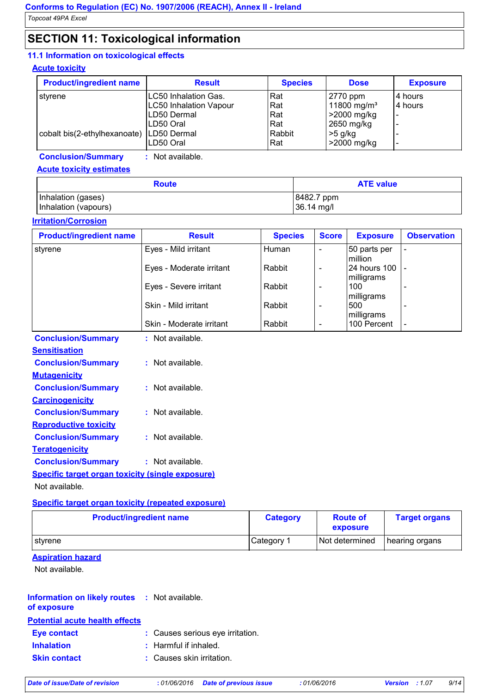### **SECTION 11: Toxicological information**

### **11.1 Information on toxicological effects**

### **Acute toxicity**

| <b>Product/ingredient name</b> | <b>Result</b>                 | <b>Species</b> | <b>Dose</b>             | <b>Exposure</b>          |
|--------------------------------|-------------------------------|----------------|-------------------------|--------------------------|
| stvrene                        | LC50 Inhalation Gas.          | Rat            | 2770 ppm                | 4 hours                  |
|                                | <b>LC50 Inhalation Vapour</b> | Rat            | 11800 mg/m <sup>3</sup> | 4 hours                  |
|                                | LD50 Dermal                   | Rat            | >2000 mg/kg             |                          |
|                                | LD50 Oral                     | Rat            | 2650 mg/kg              |                          |
| cobalt bis(2-ethylhexanoate)   | LD50 Dermal                   | Rabbit         | $>5$ g/kg               |                          |
|                                | LD50 Oral                     | Rat            | >2000 mg/kg             | $\overline{\phantom{a}}$ |

**Conclusion/Summary :** Not available.

#### **Acute toxicity estimates**

| <b>Route</b>         | <b>ATE value</b> |  |  |
|----------------------|------------------|--|--|
| Inhalation (gases)   | 8482.7 ppm       |  |  |
| Inhalation (vapours) | 36.14 mg/l       |  |  |

#### **Irritation/Corrosion**

| <b>Product/ingredient name</b>                          | <b>Result</b>            | <b>Species</b> | <b>Score</b>             | <b>Exposure</b>                 | <b>Observation</b>       |
|---------------------------------------------------------|--------------------------|----------------|--------------------------|---------------------------------|--------------------------|
| styrene                                                 | Eyes - Mild irritant     | Human          |                          | 50 parts per<br>million         |                          |
|                                                         | Eyes - Moderate irritant | Rabbit         | $\overline{\phantom{a}}$ | 24 hours 100                    |                          |
|                                                         | Eyes - Severe irritant   | Rabbit         | $\blacksquare$           | milligrams<br>100               |                          |
|                                                         | Skin - Mild irritant     | Rabbit         | $\blacksquare$           | milligrams<br>500<br>milligrams |                          |
|                                                         | Skin - Moderate irritant | Rabbit         | $\blacksquare$           | 100 Percent                     | $\overline{\phantom{a}}$ |
| <b>Conclusion/Summary</b>                               | : Not available.         |                |                          |                                 |                          |
| <b>Sensitisation</b>                                    |                          |                |                          |                                 |                          |
| <b>Conclusion/Summary</b>                               | : Not available.         |                |                          |                                 |                          |
| <b>Mutagenicity</b>                                     |                          |                |                          |                                 |                          |
| <b>Conclusion/Summary</b>                               | : Not available.         |                |                          |                                 |                          |
| <b>Carcinogenicity</b>                                  |                          |                |                          |                                 |                          |
| <b>Conclusion/Summary</b>                               | : Not available.         |                |                          |                                 |                          |
| <b>Reproductive toxicity</b>                            |                          |                |                          |                                 |                          |
| <b>Conclusion/Summary</b>                               | : Not available.         |                |                          |                                 |                          |
| <b>Teratogenicity</b>                                   |                          |                |                          |                                 |                          |
| <b>Conclusion/Summary</b>                               | : Not available.         |                |                          |                                 |                          |
| <b>Specific target organ toxicity (single exposure)</b> |                          |                |                          |                                 |                          |
| Not available.                                          |                          |                |                          |                                 |                          |

### **Specific target organ toxicity (repeated exposure)**

| <b>Product/ingredient name</b> | <b>Category</b>       | <b>Route of</b><br>exposure | <b>Target organs</b> |
|--------------------------------|-----------------------|-----------------------------|----------------------|
| ∣stvrene                       | Category <sup>1</sup> | Not determined              | hearing organs       |

### **Aspiration hazard**

Not available.

### **Information on likely routes : Not available. of exposure**

#### **Potential acute health effects**

| <b>Eye contact</b> | : Causes serious eye irritation. |
|--------------------|----------------------------------|
| <b>Inhalation</b>  | $:$ Harmful if inhaled.          |

```
Skin contact : Causes skin irritation.
```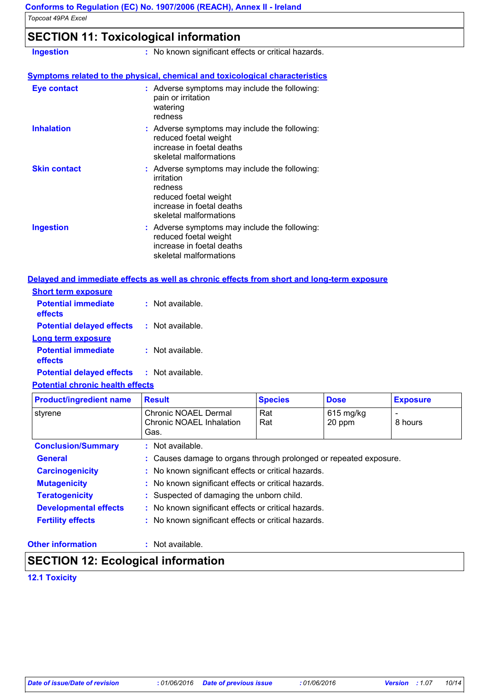### **SECTION 11: Toxicological information**

| <b>Ingestion</b>    | : No known significant effects or critical hazards.                                                                                                    |  |  |  |  |  |
|---------------------|--------------------------------------------------------------------------------------------------------------------------------------------------------|--|--|--|--|--|
|                     | <b>Symptoms related to the physical, chemical and toxicological characteristics</b>                                                                    |  |  |  |  |  |
| <b>Eye contact</b>  | : Adverse symptoms may include the following:<br>pain or irritation<br>watering<br>redness                                                             |  |  |  |  |  |
| <b>Inhalation</b>   | : Adverse symptoms may include the following:<br>reduced foetal weight<br>increase in foetal deaths<br>skeletal malformations                          |  |  |  |  |  |
| <b>Skin contact</b> | : Adverse symptoms may include the following:<br>irritation<br>redness<br>reduced foetal weight<br>increase in foetal deaths<br>skeletal malformations |  |  |  |  |  |
| <b>Ingestion</b>    | : Adverse symptoms may include the following:<br>reduced foetal weight<br>increase in foetal deaths<br>skeletal malformations                          |  |  |  |  |  |

#### **Delayed and immediate effects as well as chronic effects from short and long-term exposure**

| <b>Short term exposure</b>            |                      |
|---------------------------------------|----------------------|
| <b>Potential immediate</b><br>effects | Not available.<br>t. |
| <b>Potential delayed effects</b>      | : Not available.     |
| Long term exposure                    |                      |
| <b>Potential immediate</b><br>effects | Not available.<br>м. |
| <b>Potential delayed effects</b>      | : Not available.     |

#### **Potential chronic health effects**

| <b>Product/ingredient name</b> | <b>Result</b>                                                     | <b>Species</b> | <b>Dose</b>           | <b>Exposure</b> |  |
|--------------------------------|-------------------------------------------------------------------|----------------|-----------------------|-----------------|--|
| styrene                        | Chronic NOAEL Dermal<br>Chronic NOAEL Inhalation<br>Gas.          | Rat<br>Rat     | $615$ mg/kg<br>20 ppm | 8 hours         |  |
| <b>Conclusion/Summary</b>      | $:$ Not available.                                                |                |                       |                 |  |
| <b>General</b>                 | : Causes damage to organs through prolonged or repeated exposure. |                |                       |                 |  |
| <b>Carcinogenicity</b>         | : No known significant effects or critical hazards.               |                |                       |                 |  |
| <b>Mutagenicity</b>            | : No known significant effects or critical hazards.               |                |                       |                 |  |
| <b>Teratogenicity</b>          | : Suspected of damaging the unborn child.                         |                |                       |                 |  |
| <b>Developmental effects</b>   | : No known significant effects or critical hazards.               |                |                       |                 |  |
| <b>Fertility effects</b>       | : No known significant effects or critical hazards.               |                |                       |                 |  |

#### **Other information :**

: Not available.

### **SECTION 12: Ecological information**

### **12.1 Toxicity**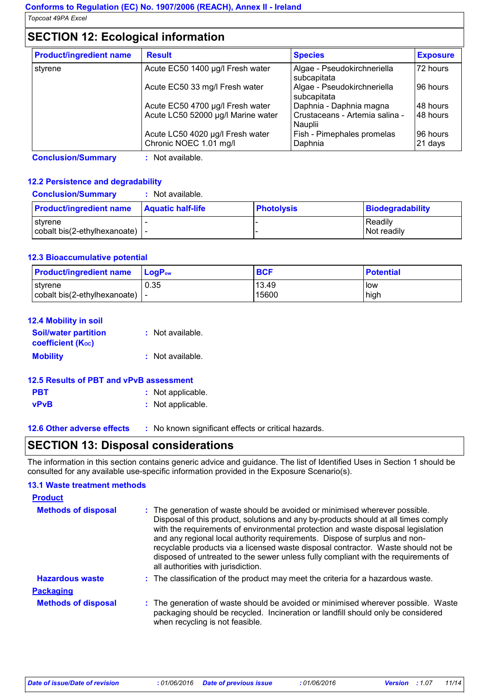### **SECTION 12: Ecological information**

| <b>Product/ingredient name</b> | <b>Result</b>                                              | <b>Species</b>                             | <b>Exposure</b>     |
|--------------------------------|------------------------------------------------------------|--------------------------------------------|---------------------|
| styrene                        | Acute EC50 1400 µg/l Fresh water                           | Algae - Pseudokirchneriella<br>subcapitata | 72 hours            |
|                                | Acute EC50 33 mg/l Fresh water                             | Algae - Pseudokirchneriella<br>subcapitata | 196 hours           |
|                                | Acute EC50 4700 µg/l Fresh water                           | Daphnia - Daphnia magna                    | 148 hours           |
|                                | Acute LC50 52000 µg/l Marine water                         | Crustaceans - Artemia salina -<br>Nauplii  | 48 hours            |
|                                | Acute LC50 4020 µg/l Fresh water<br>Chronic NOEC 1.01 mg/l | Fish - Pimephales promelas<br>Daphnia      | 96 hours<br>21 days |

**Conclusion/Summary :** Not available.

### **12.2 Persistence and degradability**

| <b>Conclusion/Summary</b>                                 | : Not available.         |                   |                         |
|-----------------------------------------------------------|--------------------------|-------------------|-------------------------|
| <b>Product/ingredient name</b>                            | <b>Aquatic half-life</b> | <b>Photolysis</b> | <b>Biodegradability</b> |
| styrene<br>$\vert$ cobalt bis(2-ethylhexanoate) $\vert$ - |                          |                   | Readily<br>Not readily  |

#### **12.3 Bioaccumulative potential**

| <b>Product/ingredient name</b>   | <b>LogP</b> <sub>ow</sub> | <b>BCF</b>     | <b>Potential</b> |
|----------------------------------|---------------------------|----------------|------------------|
| l styrene                        | 0.35                      | 13.49<br>15600 | How              |
| cobalt bis(2-ethylhexanoate)   - |                           |                | high             |

| <b>12.4 Mobility in soil</b>                            |                    |
|---------------------------------------------------------|--------------------|
| <b>Soil/water partition</b><br><b>coefficient (Koc)</b> | : Not available.   |
| <b>Mobility</b>                                         | $:$ Not available. |
| 12.5 Results of PBT and vPvB assessment                 |                    |
| PBT                                                     | : Not applicable.  |

**vPvB :** Not applicable.

**12.6 Other adverse effects** : No known significant effects or critical hazards.

**SECTION 13: Disposal considerations**

The information in this section contains generic advice and guidance. The list of Identified Uses in Section 1 should be consulted for any available use-specific information provided in the Exposure Scenario(s).

#### **13.1 Waste treatment methods**

| <b>Product</b>             |                                                                                                                                                                                                                                                                                                                                                                                                                                                                                                                                                      |
|----------------------------|------------------------------------------------------------------------------------------------------------------------------------------------------------------------------------------------------------------------------------------------------------------------------------------------------------------------------------------------------------------------------------------------------------------------------------------------------------------------------------------------------------------------------------------------------|
| <b>Methods of disposal</b> | : The generation of waste should be avoided or minimised wherever possible.<br>Disposal of this product, solutions and any by-products should at all times comply<br>with the requirements of environmental protection and waste disposal legislation<br>and any regional local authority requirements. Dispose of surplus and non-<br>recyclable products via a licensed waste disposal contractor. Waste should not be<br>disposed of untreated to the sewer unless fully compliant with the requirements of<br>all authorities with jurisdiction. |
| <b>Hazardous waste</b>     | : The classification of the product may meet the criteria for a hazardous waste.                                                                                                                                                                                                                                                                                                                                                                                                                                                                     |
| <b>Packaging</b>           |                                                                                                                                                                                                                                                                                                                                                                                                                                                                                                                                                      |
| <b>Methods of disposal</b> | : The generation of waste should be avoided or minimised wherever possible. Waste<br>packaging should be recycled. Incineration or landfill should only be considered<br>when recycling is not feasible.                                                                                                                                                                                                                                                                                                                                             |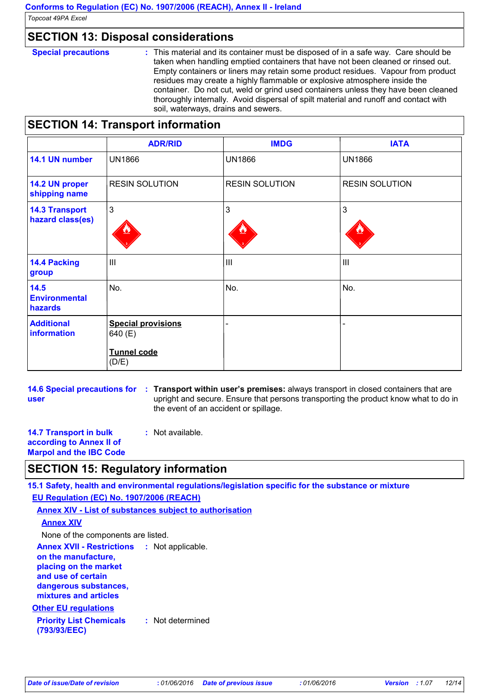### **SECTION 13: Disposal considerations**

**Special precautions :** This material and its container must be disposed of in a safe way. Care should be taken when handling emptied containers that have not been cleaned or rinsed out. Empty containers or liners may retain some product residues. Vapour from product residues may create a highly flammable or explosive atmosphere inside the container. Do not cut, weld or grind used containers unless they have been cleaned thoroughly internally. Avoid dispersal of spilt material and runoff and contact with soil, waterways, drains and sewers.

### **SECTION 14: Transport information**

|                                           | <b>ADR/RID</b>                                      | <b>IMDG</b>           | <b>IATA</b>           |
|-------------------------------------------|-----------------------------------------------------|-----------------------|-----------------------|
| 14.1 UN number                            | <b>UN1866</b>                                       | <b>UN1866</b>         | <b>UN1866</b>         |
| 14.2 UN proper<br>shipping name           | <b>RESIN SOLUTION</b>                               | <b>RESIN SOLUTION</b> | <b>RESIN SOLUTION</b> |
| <b>14.3 Transport</b><br>hazard class(es) | 3                                                   | 3                     | 3                     |
| <b>14.4 Packing</b><br>group              | $\mathbf{III}$                                      | $\mathbf{III}$        | $\mathbf{III}$        |
| 14.5<br><b>Environmental</b><br>hazards   | No.                                                 | No.                   | No.                   |
| <b>Additional</b><br>information          | <b>Special provisions</b><br>640 (E)<br>Tunnel code | $\blacksquare$        |                       |
|                                           | (D/E)                                               |                       |                       |

**14.6 Special precautions for : Transport within user's premises: always transport in closed containers that are user** upright and secure. Ensure that persons transporting the product know what to do in the event of an accident or spillage.

**14.7 Transport in bulk according to Annex II of Marpol and the IBC Code :** Not available.

### **SECTION 15: Regulatory information**

**15.1 Safety, health and environmental regulations/legislation specific for the substance or mixture**

**EU Regulation (EC) No. 1907/2006 (REACH)**

**Annex XIV - List of substances subject to authorisation**

### **Annex XIV**

None of the components are listed.

**Annex XVII - Restrictions :** Not applicable. **on the manufacture, placing on the market and use of certain dangerous substances, mixtures and articles**

### **Other EU regulations**

**Priority List Chemicals (793/93/EEC) :** Not determined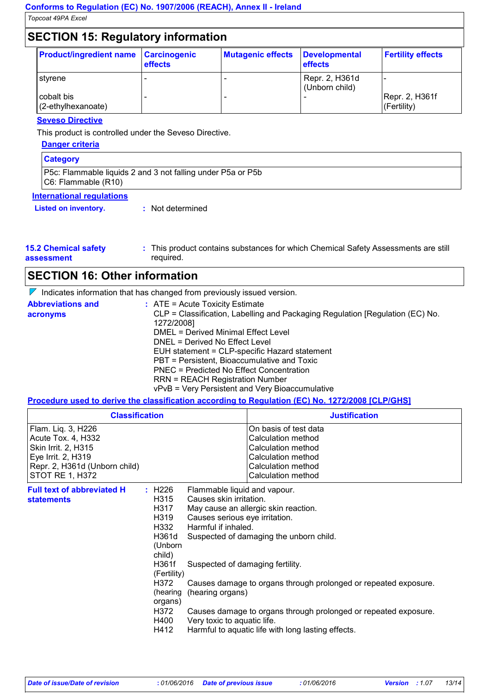### **SECTION 15: Regulatory information**

| <b>Product/ingredient name</b>   | <b>Carcinogenic</b><br>effects | <b>Mutagenic effects</b> | Developmental<br><b>effects</b>  | <b>Fertility effects</b>       |
|----------------------------------|--------------------------------|--------------------------|----------------------------------|--------------------------------|
| styrene                          |                                |                          | Repr. 2, H361d<br>(Unborn child) |                                |
| cobalt bis<br>(2-ethylhexanoate) |                                |                          |                                  | Repr. 2, H361f<br>l(Fertility) |

#### **Seveso Directive**

This product is controlled under the Seveso Directive.

| Danger criteria                                                                    |
|------------------------------------------------------------------------------------|
| <b>Category</b>                                                                    |
| P5c: Flammable liquids 2 and 3 not falling under P5a or P5b<br>C6: Flammable (R10) |
| <b>International regulations</b>                                                   |
| <b>Listed on inventory.</b><br>: Not determined                                    |

| <b>15.2 Chemical safety</b> | : This product contains substances for which Chemical Safety Assessments are still |
|-----------------------------|------------------------------------------------------------------------------------|
| assessment                  | required.                                                                          |

### **SECTION 16: Other information**

 $\nabla$  Indicates information that has changed from previously issued version.

| <b>Abbreviations and</b> | $:$ ATE = Acute Toxicity Estimate                                             |
|--------------------------|-------------------------------------------------------------------------------|
| acronyms                 | CLP = Classification, Labelling and Packaging Regulation [Regulation (EC) No. |
|                          | 1272/2008]                                                                    |
|                          | DMEL = Derived Minimal Effect Level                                           |
|                          | DNEL = Derived No Effect Level                                                |
|                          | EUH statement = CLP-specific Hazard statement                                 |
|                          | PBT = Persistent, Bioaccumulative and Toxic                                   |
|                          | PNEC = Predicted No Effect Concentration                                      |
|                          | <b>RRN = REACH Registration Number</b>                                        |
|                          | vPvB = Very Persistent and Very Bioaccumulative                               |

### **Procedure used to derive the classification according to Regulation (EC) No. 1272/2008 [CLP/GHS]**

| <b>Classification</b>                                                                                                                            |                                                                                                                                                     |                                                                                                                                                                                                         | <b>Justification</b>                                                                                                                                                                                                                                                        |  |
|--------------------------------------------------------------------------------------------------------------------------------------------------|-----------------------------------------------------------------------------------------------------------------------------------------------------|---------------------------------------------------------------------------------------------------------------------------------------------------------------------------------------------------------|-----------------------------------------------------------------------------------------------------------------------------------------------------------------------------------------------------------------------------------------------------------------------------|--|
| Flam. Liq. 3, H226<br>Acute Tox. 4, H332<br>Skin Irrit. 2, H315<br>Eye Irrit. 2, H319<br>Repr. 2, H361d (Unborn child)<br><b>STOT RE 1, H372</b> |                                                                                                                                                     |                                                                                                                                                                                                         | On basis of test data<br>Calculation method<br>Calculation method<br>Calculation method<br>Calculation method<br>Calculation method                                                                                                                                         |  |
| <b>Full text of abbreviated H</b><br><b>statements</b>                                                                                           | : H226<br>H315<br>H317<br>H319<br>H332<br>H361d<br>(Unborn<br>child)<br>H361f<br>(Fertility)<br>H372<br>(hearing<br>organs)<br>H372<br>H400<br>H412 | Flammable liquid and vapour.<br>Causes skin irritation.<br>Causes serious eye irritation.<br>Harmful if inhaled.<br>Suspected of damaging fertility.<br>(hearing organs)<br>Very toxic to aquatic life. | May cause an allergic skin reaction.<br>Suspected of damaging the unborn child.<br>Causes damage to organs through prolonged or repeated exposure.<br>Causes damage to organs through prolonged or repeated exposure.<br>Harmful to aquatic life with long lasting effects. |  |